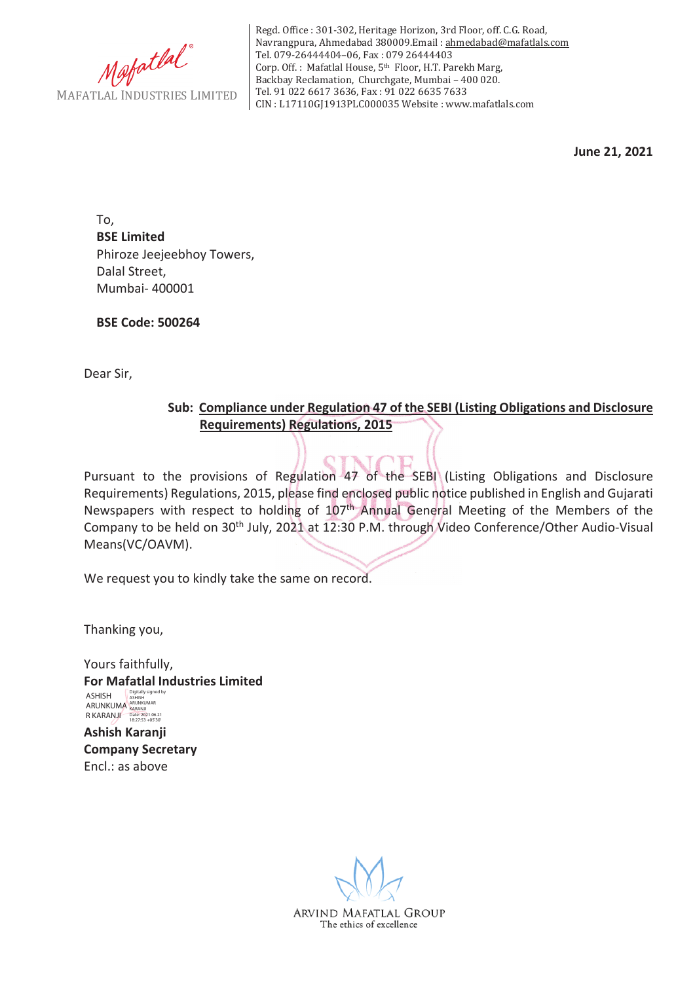

Regd. Office : 301-302, Heritage Horizon, 3rd Floor, off. C.G. Road, Navrangpura, Ahmedabad 380009.Email : ahmedabad@mafatlals.com Tel. 079-26444404–06, Fax : 079 26444403 Corp. Off. : Mafatlal House, 5th Floor, H.T. Parekh Marg, Backbay Reclamation, Churchgate, Mumbai – 400 020. Tel. 91 022 6617 3636, Fax : 91 022 6635 7633 CIN : L17110GJ1913PLC000035 Website : www.mafatlals.com

**June 21, 2021**

To, **BSE Limited** Phiroze Jeejeebhoy Towers, Dalal Street, Mumbai- 400001

**BSE Code: 500264**

Dear Sir,

### **Sub:Compliance under Regulation 47 of the SEBI (Listing Obligations and Disclosure Requirements) Regulations, 2015**

Pursuant to the provisions of Regulation 47 of the SEBI (Listing Obligations and Disclosure Requirements) Regulations, 2015, please find enclosed public notice published in English and Gujarati Newspapers with respect to holding of 107th Annual General Meeting of the Members of the Company to be held on 30<sup>th</sup> July, 2021 at 12:30 P.M. through Video Conference/Other Audio-Visual Means(VC/OAVM).

We request you to kindly take the same on record.

Thanking you,

Yours faithfully, **For Mafatlal Industries Limited Ashish Karanji Company Secretary** Encl.: as above ASHISH ARUNKUMA R KARANJI Digitally signed by ASHISH ARUNKUMAR KARANJI Date: 2021.06.21 18:27:53 +05'30'

ARVIND MAFATLAL GROUP The ethics of excellence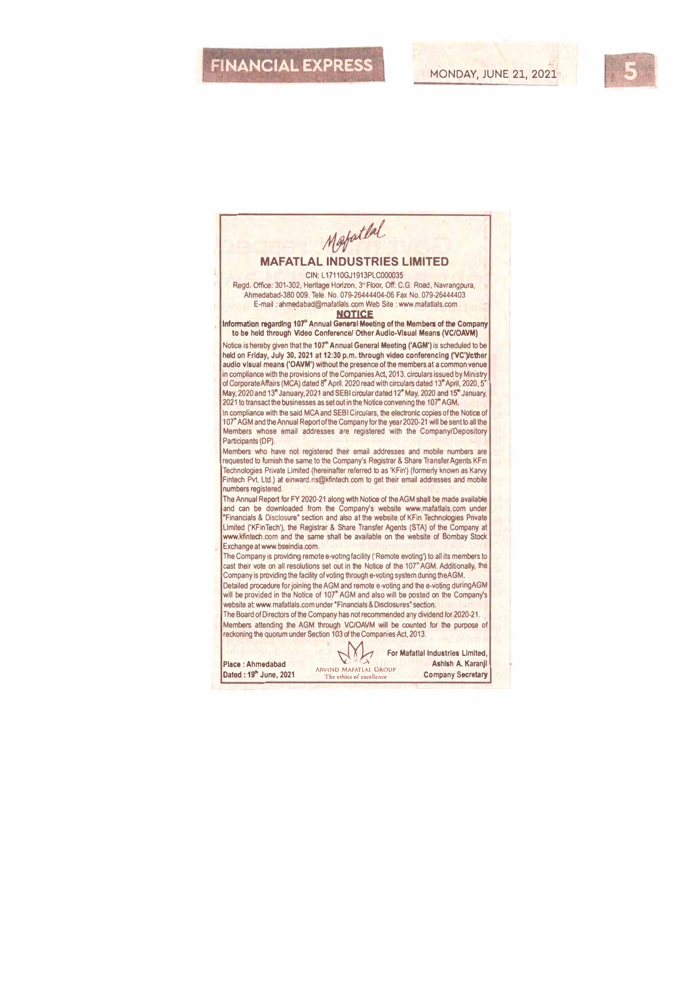## **FINANCIAL EXPRESS**

#### Mafatlal **MAFATLAL INDUSTRIES LIMITED**  CIN: L17110GJ1913PLC000035 Regd. Office: 301-302, Heritage Horizon, 3 °Floor, Off: C.G. Road, Navrangpura, Ahmedabad-380 009. Tele. No. 079-26444404-06 Fax No. 079-26444403 E-mail . ahmedabad@mafatlals.com Web Site : www.mafatlals.com **' NOTICE**  lnfonnation ragardlng **101•** Annual General Meeting of the Members of **the** Company to be held through Video Conference/ Other Audio-Visual Means (VC/OAVM) Notice is hereby given that the **107"** Annual General Meeting **('AGM')** Is scheduled to be held on Friday, July **30, 2021** at **12:30** p.m. through video conferencing ('VC')/cther audio visual means **('OAVM')** without **the** presence of the members at a common venue in compliance with the provisions of the Companies Act, 2013, circulars issued by Ministry of Corporate Affairs (MCA) dated s• April, 2020 read with circulars dated 13• April, 2020, S" May, 2020 and 13<sup>th</sup> January, 2021 and SEBI circular dated 12<sup>th</sup> May, 2020 and 15<sup>th</sup> January, 2021 to transact the businesses as set out in the Notice convening the 107" AGM. In compliance with the said MCA and SEBI Circulars, the elecironlc **cop,es** of the Notice of 107' AGM and the Annual Report of the Company for the year 2020-21 will be sent to all **the**  Members whose email addresses are registered with the Company/Depository Participants (DP). Members who have not registered their email addresses and mobile numbers are requested to furnish the same to the Company's Registrar & Share Transfer Agents KFin Technologies Private Limited (hereinafter referred to as 'KFin') (formerly known as Karvy Fintech Pvt. Ltd.) at einward.ris@kfintech.com to get their email addresses and mobile numbers registered. **The** Annual Report for FY 2020-21 along with Notice of the AGM shall be made available and can be downloaded from the Company's website www.mafatlals.com under "Financials & Disclosure" section and also at the website of KFin Technologies Private<br>Limited ('KFinTech'), the Registrar & Share Transfer Agents (STA) of the Company at www.kfintech.com and the same shall be available on the website of Bombay Stock Exchange at www.bselndia.com. The Company is providing remote e-voting facility ('Remote evoting') to all its members to cast their vote on aH resolutions set out in the Notice of the 107' AGM. Additionally, **the**  Company is providing the facility of voting through e-voting system dunng theAGM. Detailed procedure for joining the AGM and remote e-voting and the e-voting duringAGM will be provided in the Notice of 107<sup>\*</sup> AGM and also will be posted on the Company's website at: www.mafatlals.com under "Financials & Disclosures" **section.**  The Board of Directors of the Company has not recommended any dividend for 2020-21. Members attending the AGM through VC/OAVM will be counted for the purpose of reckoning **the** quorum under Section 103 of the Companies Act, 2013. **WARED For Mafatlal Industries Limited,** Ashlsh A. Karanji **Place** : Ahmadabad **ARVINO MAFATLAl GROUP**  Dated: **19•** June, **2021**  Company Secretary The ethics of exce